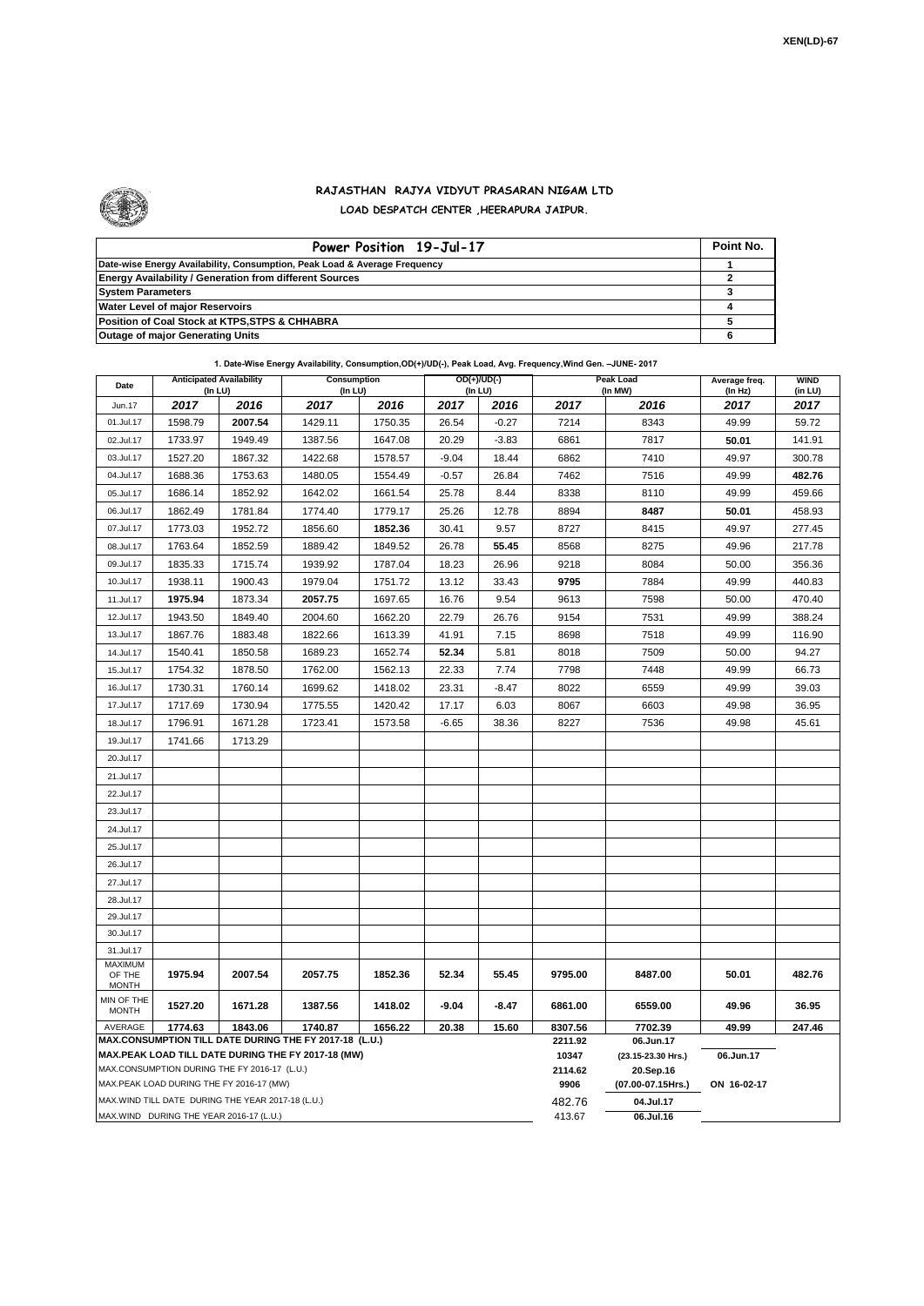

.

## **RAJASTHAN RAJYA VIDYUT PRASARAN NIGAM LTD LOAD DESPATCH CENTER ,HEERAPURA JAIPUR.**

| Power Position 19-Jul-17                                                  | Point No. |
|---------------------------------------------------------------------------|-----------|
| Date-wise Energy Availability, Consumption, Peak Load & Average Frequency |           |
| <b>Energy Availability / Generation from different Sources</b>            |           |
| <b>System Parameters</b>                                                  |           |
| <b>Water Level of major Reservoirs</b>                                    |           |
| Position of Coal Stock at KTPS, STPS & CHHABRA                            |           |
| <b>Outage of major Generating Units</b>                                   |           |

|  |  | 1. Date-Wise Energy Availability, Consumption, OD(+)/UD(-), Peak Load, Avg. Frequency, Wind Gen. -JUNE- 2017 |
|--|--|--------------------------------------------------------------------------------------------------------------|
|--|--|--------------------------------------------------------------------------------------------------------------|

| Date                              | (In LU)                                           | <b>Anticipated Availability</b> | Consumption<br>OD(+)/UD(-)<br>(In LU)<br>(In LU)                                                             |         |         | Peak Load<br>(In MW) | Average freq.<br>(In Hz) | <b>WIND</b><br>(in LU)          |             |        |
|-----------------------------------|---------------------------------------------------|---------------------------------|--------------------------------------------------------------------------------------------------------------|---------|---------|----------------------|--------------------------|---------------------------------|-------------|--------|
| Jun.17                            | 2017                                              | 2016                            | 2017                                                                                                         | 2016    | 2017    | 2016                 | 2017                     | 2016                            | 2017        | 2017   |
| 01.Jul.17                         | 1598.79                                           | 2007.54                         | 1429.11                                                                                                      | 1750.35 | 26.54   | $-0.27$              | 7214                     | 8343                            | 49.99       | 59.72  |
| 02.Jul.17                         | 1733.97                                           | 1949.49                         | 1387.56                                                                                                      | 1647.08 | 20.29   | $-3.83$              | 6861                     | 7817                            | 50.01       | 141.91 |
| 03.Jul.17                         | 1527.20                                           | 1867.32                         | 1422.68                                                                                                      | 1578.57 | $-9.04$ | 18.44                | 6862                     | 7410                            | 49.97       | 300.78 |
| 04.Jul.17                         | 1688.36                                           | 1753.63                         | 1480.05                                                                                                      | 1554.49 | $-0.57$ | 26.84                | 7462                     | 7516                            | 49.99       | 482.76 |
| 05.Jul.17                         | 1686.14                                           | 1852.92                         | 1642.02                                                                                                      | 1661.54 | 25.78   | 8.44                 | 8338                     | 8110                            | 49.99       | 459.66 |
| 06.Jul.17                         | 1862.49                                           | 1781.84                         | 1774.40                                                                                                      | 1779.17 | 25.26   | 12.78                | 8894                     | 8487                            | 50.01       | 458.93 |
| 07.Jul.17                         | 1773.03                                           | 1952.72                         | 1856.60                                                                                                      | 1852.36 | 30.41   | 9.57                 | 8727                     | 8415                            | 49.97       | 277.45 |
| 08.Jul.17                         | 1763.64                                           | 1852.59                         | 1889.42                                                                                                      | 1849.52 | 26.78   | 55.45                | 8568                     | 8275                            | 49.96       | 217.78 |
| 09.Jul.17                         | 1835.33                                           | 1715.74                         | 1939.92                                                                                                      | 1787.04 | 18.23   | 26.96                | 9218                     | 8084                            | 50.00       | 356.36 |
| 10.Jul.17                         | 1938.11                                           | 1900.43                         | 1979.04                                                                                                      | 1751.72 | 13.12   | 33.43                | 9795                     | 7884                            | 49.99       | 440.83 |
| 11.Jul.17                         | 1975.94                                           | 1873.34                         | 2057.75                                                                                                      | 1697.65 | 16.76   | 9.54                 | 9613                     | 7598                            | 50.00       | 470.40 |
| 12.Jul.17                         | 1943.50                                           | 1849.40                         | 2004.60                                                                                                      | 1662.20 | 22.79   | 26.76                | 9154                     | 7531                            | 49.99       | 388.24 |
| 13.Jul.17                         | 1867.76                                           | 1883.48                         | 1822.66                                                                                                      | 1613.39 | 41.91   | 7.15                 | 8698                     | 7518                            | 49.99       | 116.90 |
| 14.Jul.17                         | 1540.41                                           | 1850.58                         | 1689.23                                                                                                      | 1652.74 | 52.34   | 5.81                 | 8018                     | 7509                            | 50.00       | 94.27  |
| 15.Jul.17                         | 1754.32                                           | 1878.50                         | 1762.00                                                                                                      | 1562.13 | 22.33   | 7.74                 | 7798                     | 7448                            | 49.99       | 66.73  |
| 16.Jul.17                         | 1730.31                                           | 1760.14                         | 1699.62                                                                                                      | 1418.02 | 23.31   | $-8.47$              | 8022                     | 6559                            | 49.99       | 39.03  |
| 17.Jul.17                         | 1717.69                                           | 1730.94                         | 1775.55                                                                                                      | 1420.42 | 17.17   | 6.03                 | 8067                     | 6603                            | 49.98       | 36.95  |
| 18.Jul.17                         | 1796.91                                           | 1671.28                         | 1723.41                                                                                                      | 1573.58 | $-6.65$ | 38.36                | 8227                     | 7536                            | 49.98       | 45.61  |
| 19.Jul.17                         | 1741.66                                           | 1713.29                         |                                                                                                              |         |         |                      |                          |                                 |             |        |
| 20.Jul.17                         |                                                   |                                 |                                                                                                              |         |         |                      |                          |                                 |             |        |
| 21.Jul.17                         |                                                   |                                 |                                                                                                              |         |         |                      |                          |                                 |             |        |
| 22.Jul.17                         |                                                   |                                 |                                                                                                              |         |         |                      |                          |                                 |             |        |
| 23.Jul.17                         |                                                   |                                 |                                                                                                              |         |         |                      |                          |                                 |             |        |
| 24.Jul.17                         |                                                   |                                 |                                                                                                              |         |         |                      |                          |                                 |             |        |
| 25.Jul.17                         |                                                   |                                 |                                                                                                              |         |         |                      |                          |                                 |             |        |
| 26.Jul.17                         |                                                   |                                 |                                                                                                              |         |         |                      |                          |                                 |             |        |
| 27.Jul.17                         |                                                   |                                 |                                                                                                              |         |         |                      |                          |                                 |             |        |
| 28.Jul.17                         |                                                   |                                 |                                                                                                              |         |         |                      |                          |                                 |             |        |
| 29.Jul.17                         |                                                   |                                 |                                                                                                              |         |         |                      |                          |                                 |             |        |
| 30.Jul.17                         |                                                   |                                 |                                                                                                              |         |         |                      |                          |                                 |             |        |
| 31.Jul.17                         |                                                   |                                 |                                                                                                              |         |         |                      |                          |                                 |             |        |
| MAXIMUM<br>OF THE<br><b>MONTH</b> | 1975.94                                           | 2007.54                         | 2057.75                                                                                                      | 1852.36 | 52.34   | 55.45                | 9795.00                  | 8487.00                         | 50.01       | 482.76 |
| MIN OF THE<br><b>MONTH</b>        | 1527.20                                           | 1671.28                         | 1387.56                                                                                                      | 1418.02 | $-9.04$ | $-8.47$              | 6861.00                  | 6559.00                         | 49.96       | 36.95  |
| AVERAGE                           | 1774.63                                           | 1843.06                         | 1740.87                                                                                                      | 1656.22 | 20.38   | 15.60                | 8307.56                  | 7702.39                         | 49.99       | 247.46 |
|                                   |                                                   |                                 | MAX.CONSUMPTION TILL DATE DURING THE FY 2017-18 (L.U.)<br>MAX.PEAK LOAD TILL DATE DURING THE FY 2017-18 (MW) |         |         |                      | 2211.92<br>10347         | 06.Jun.17<br>(23.15-23.30 Hrs.) | 06.Jun.17   |        |
|                                   | MAX.CONSUMPTION DURING THE FY 2016-17 (L.U.)      |                                 |                                                                                                              |         |         |                      | 2114.62                  | 20.Sep.16                       |             |        |
|                                   | MAX.PEAK LOAD DURING THE FY 2016-17 (MW)          |                                 |                                                                                                              |         |         |                      | 9906                     | (07.00-07.15Hrs.)               | ON 16-02-17 |        |
|                                   | MAX.WIND TILL DATE DURING THE YEAR 2017-18 (L.U.) |                                 |                                                                                                              |         |         |                      | 482.76                   | 04.Jul.17                       |             |        |
|                                   | MAX.WIND DURING THE YEAR 2016-17 (L.U.)           |                                 |                                                                                                              |         |         |                      | 413.67                   | 06.Jul.16                       |             |        |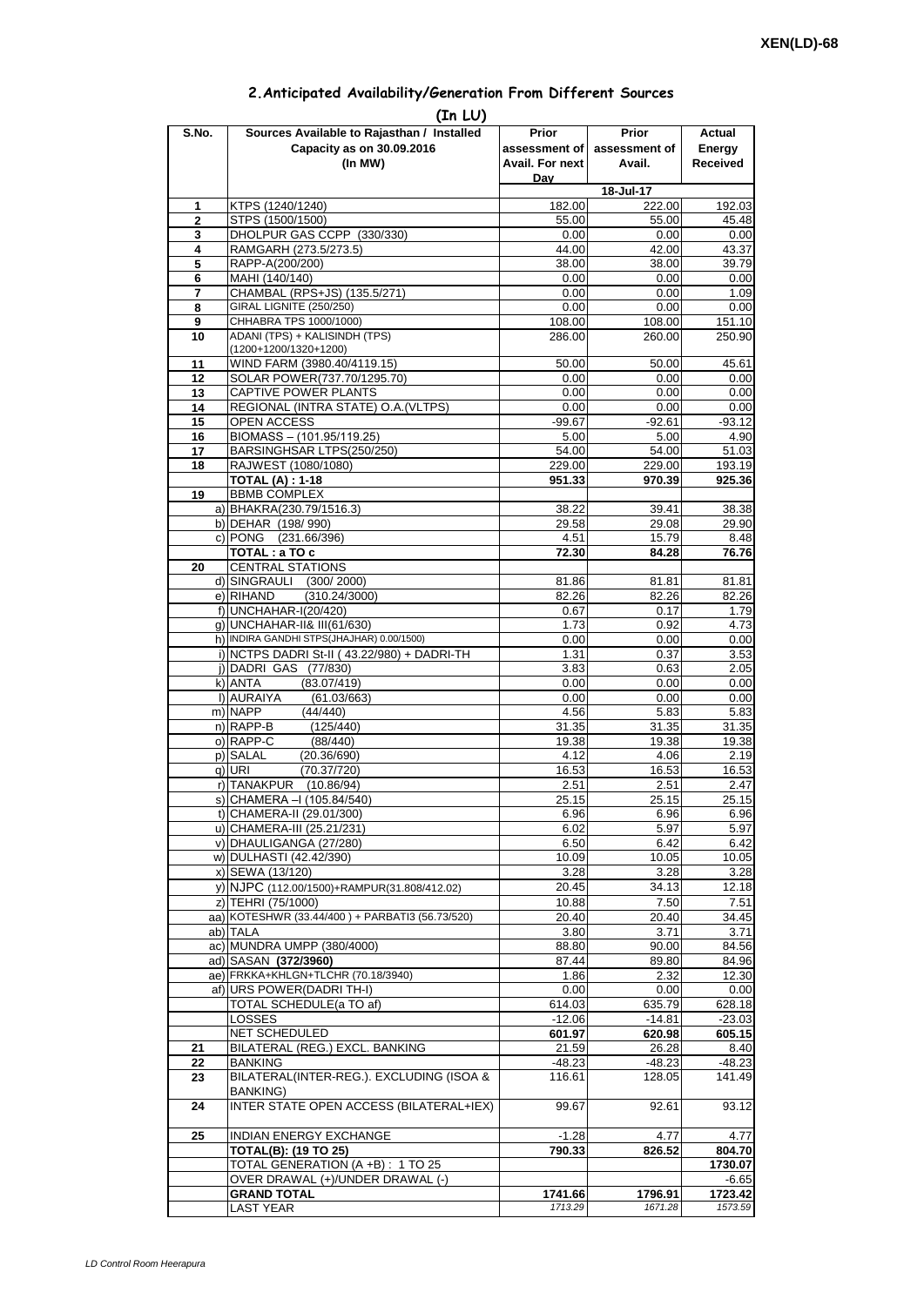| 2. Anticipated Availability/Generation From Different Sources |  |  |  |  |  |  |
|---------------------------------------------------------------|--|--|--|--|--|--|
|---------------------------------------------------------------|--|--|--|--|--|--|

| S.No.               | (In LU)<br>Sources Available to Rajasthan / Installed                 | Prior           | <b>Prior</b>    | Actual             |
|---------------------|-----------------------------------------------------------------------|-----------------|-----------------|--------------------|
|                     | Capacity as on 30.09.2016                                             | assessment of   | assessment of   | Energy             |
|                     | (In MW)                                                               | Avail. For next | Avail.          | <b>Received</b>    |
|                     |                                                                       | Day             |                 |                    |
|                     |                                                                       |                 | 18-Jul-17       |                    |
| 1<br>$\overline{2}$ | KTPS (1240/1240)<br>STPS (1500/1500)                                  | 182.00<br>55.00 | 222.00<br>55.00 | 192.03<br>45.48    |
| 3                   | DHOLPUR GAS CCPP (330/330)                                            | 0.00            | 0.00            | 0.00               |
| 4                   | RAMGARH (273.5/273.5)                                                 | 44.00           | 42.00           | 43.37              |
| 5                   | RAPP-A(200/200)                                                       | 38.00           | 38.00           | 39.79              |
| 6                   | MAHI (140/140)                                                        | 0.00            | 0.00            | 0.00               |
| 7                   | CHAMBAL (RPS+JS) (135.5/271)                                          | 0.00            | 0.00            | 1.09               |
| 8                   | GIRAL LIGNITE (250/250)                                               | 0.00            | 0.00            | 0.00               |
| 9                   | CHHABRA TPS 1000/1000)<br>ADANI (TPS) + KALISINDH (TPS)               | 108.00          | 108.00          | 151.10             |
| 10                  | (1200+1200/1320+1200)                                                 | 286.00          | 260.00          | 250.90             |
| 11                  | WIND FARM (3980.40/4119.15)                                           | 50.00           | 50.00           | 45.61              |
| 12                  | SOLAR POWER(737.70/1295.70)                                           | 0.00            | 0.00            | 0.00               |
| 13                  | CAPTIVE POWER PLANTS                                                  | 0.00            | 0.00            | 0.00               |
| 14                  | REGIONAL (INTRA STATE) O.A. (VLTPS)                                   | 0.00            | 0.00            | 0.00               |
| 15                  | OPEN ACCESS                                                           | $-99.67$        | $-92.61$        | $-93.12$           |
| 16                  | BIOMASS - (101.95/119.25)                                             | 5.00            | 5.00            | 4.90               |
| 17<br>18            | BARSINGHSAR LTPS(250/250)<br>RAJWEST (1080/1080)                      | 54.00<br>229.00 | 54.00<br>229.00 | 51.03<br>193.19    |
|                     | <b>TOTAL (A): 1-18</b>                                                | 951.33          | 970.39          | 925.36             |
| 19                  | <b>BBMB COMPLEX</b>                                                   |                 |                 |                    |
|                     | a) BHAKRA(230.79/1516.3)                                              | 38.22           | 39.41           | 38.38              |
|                     | b) DEHAR (198/990)                                                    | 29.58           | 29.08           | 29.90              |
|                     | c) PONG (231.66/396)                                                  | 4.51            | 15.79           | 8.48               |
|                     | TOTAL: a TO c                                                         | 72.30           | 84.28           | 76.76              |
| 20                  | <b>CENTRAL STATIONS</b>                                               |                 |                 |                    |
|                     | d) SINGRAULI<br>(300/2000)<br>e) RIHAND<br>(310.24/3000)              | 81.86<br>82.26  | 81.81<br>82.26  | 81.81<br>82.26     |
|                     | f) UNCHAHAR-I(20/420)                                                 | 0.67            | 0.17            | 1.79               |
|                     | q) UNCHAHAR-II& III(61/630)                                           | 1.73            | 0.92            | 4.73               |
|                     | h) INDIRA GANDHI STPS(JHAJHAR) 0.00/1500)                             | 0.00            | 0.00            | 0.00               |
|                     | i) NCTPS DADRI St-II (43.22/980) + DADRI-TH                           | 1.31            | 0.37            | 3.53               |
|                     | j) DADRI GAS (77/830)                                                 | 3.83            | 0.63            | 2.05               |
|                     | k) ANTA<br>(83.07/419)                                                | 0.00            | 0.00            | 0.00               |
|                     | I) AURAIYA<br>(61.03/663)                                             | 0.00            | 0.00            | 0.00               |
|                     | m) NAPP<br>(44/440)                                                   | 4.56            | 5.83            | 5.83               |
|                     | n) RAPP-B<br>(125/440)                                                | 31.35           | 31.35           | 31.35              |
|                     | o) RAPP-C<br>(88/440)<br>p) SALAL<br>(20.36/690)                      | 19.38<br>4.12   | 19.38<br>4.06   | 19.38<br>2.19      |
|                     | (70.37/720)<br>q) URI                                                 | 16.53           | 16.53           | 16.53              |
|                     | r) TANAKPUR<br>(10.86/94)                                             | 2.51            | 2.51            | 2.47               |
|                     | S) CHAMERA –I (105.84/540)                                            | 25.15           | 25.15           | 25.15              |
|                     | t) CHAMERA-II (29.01/300)                                             | 6.96            | 6.96            | 6.96               |
|                     | u) CHAMERA-III (25.21/231)                                            | 6.02            | 5.97            | 5.97               |
|                     | v) DHAULIGANGA (27/280)                                               | 6.50            | 6.42            | 6.42               |
|                     | w) DULHASTI (42.42/390)                                               | 10.09           | 10.05           | 10.05              |
|                     | x) SEWA (13/120)                                                      | 3.28<br>20.45   | 3.28<br>34.13   | 3.28<br>12.18      |
|                     | y) NJPC (112.00/1500)+RAMPUR(31.808/412.02)<br>z) TEHRI (75/1000)     | 10.88           | 7.50            | 7.51               |
|                     | aa) KOTESHWR (33.44/400) + PARBATI3 (56.73/520)                       | 20.40           | 20.40           | 34.45              |
|                     | ab) TALA                                                              | 3.80            | 3.71            | 3.71               |
|                     | ac) MUNDRA UMPP (380/4000)                                            | 88.80           | 90.00           | 84.56              |
|                     | ad) SASAN (372/3960)                                                  | 87.44           | 89.80           | 84.96              |
|                     | ae) FRKKA+KHLGN+TLCHR (70.18/3940)                                    | 1.86            | 2.32            | 12.30              |
|                     | af) URS POWER(DADRI TH-I)                                             | 0.00            | 0.00            | 0.00               |
|                     | TOTAL SCHEDULE(a TO af)                                               | 614.03          | 635.79          | 628.18             |
|                     | <b>LOSSES</b><br>NET SCHEDULED                                        | $-12.06$        | $-14.81$        | $-23.03$           |
| 21                  | BILATERAL (REG.) EXCL. BANKING                                        | 601.97<br>21.59 | 620.98<br>26.28 | 605.15<br>8.40     |
| 22                  | <b>BANKING</b>                                                        | $-48.23$        | $-48.23$        | $-48.23$           |
| 23                  | BILATERAL(INTER-REG.). EXCLUDING (ISOA &                              | 116.61          | 128.05          | 141.49             |
|                     | <b>BANKING)</b>                                                       |                 |                 |                    |
| 24                  | INTER STATE OPEN ACCESS (BILATERAL+IEX)                               | 99.67           | 92.61           | 93.12              |
|                     |                                                                       |                 |                 |                    |
| 25                  | INDIAN ENERGY EXCHANGE                                                | $-1.28$         | 4.77            | 4.77               |
|                     | <b>TOTAL(B): (19 TO 25)</b>                                           | 790.33          | 826.52          | 804.70             |
|                     | TOTAL GENERATION (A +B) : 1 TO 25<br>OVER DRAWAL (+)/UNDER DRAWAL (-) |                 |                 | 1730.07<br>$-6.65$ |
|                     | <b>GRAND TOTAL</b>                                                    | 1741.66         | 1796.91         | 1723.42            |
|                     | <b>LAST YEAR</b>                                                      | 1713.29         | 1671.28         | 1573.59            |
|                     |                                                                       |                 |                 |                    |